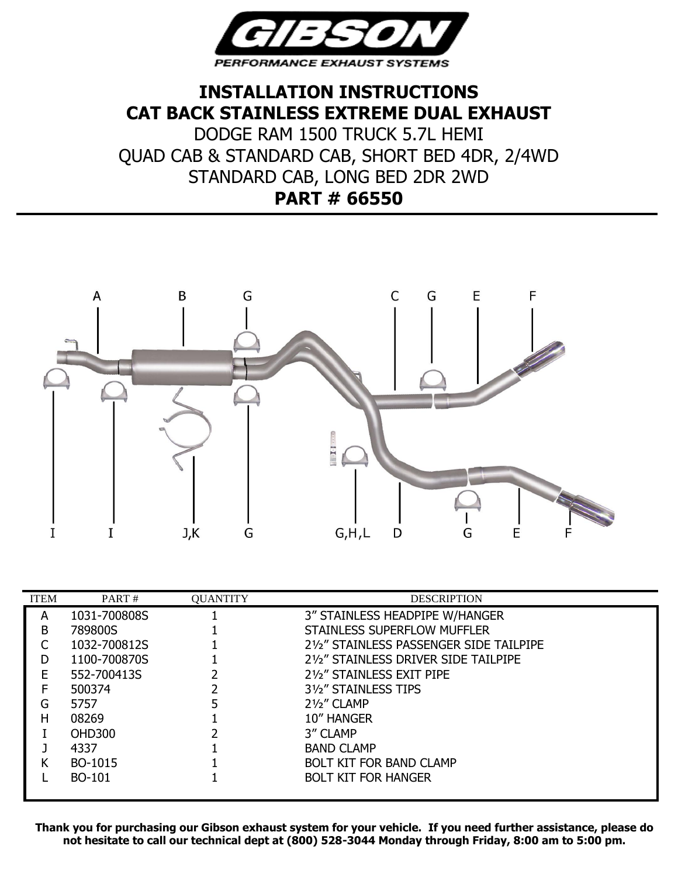

## **INSTALLATION INSTRUCTIONS CAT BACK STAINLESS EXTREME DUAL EXHAUST**

DODGE RAM 1500 TRUCK 5.7L HEMI QUAD CAB & STANDARD CAB, SHORT BED 4DR, 2/4WD STANDARD CAB, LONG BED 2DR 2WD **PART # 66550**



| <b>ITEM</b> | PART#         | <b>QUANTITY</b> | <b>DESCRIPTION</b>                      |  |
|-------------|---------------|-----------------|-----------------------------------------|--|
| A           | 1031-700808S  |                 | 3" STAINLESS HEADPIPE W/HANGER          |  |
| B           | 789800S       |                 | STAINLESS SUPERFLOW MUFFLER             |  |
|             | 1032-700812S  |                 | 21/2" STAINLESS PASSENGER SIDE TAILPIPE |  |
|             | 1100-700870S  |                 | 21/2" STAINLESS DRIVER SIDE TAILPIPE    |  |
| F           | 552-700413S   |                 | 21/2" STAINLESS EXIT PIPE               |  |
|             | 500374        |                 | 31/ <sub>2</sub> STAINLESS TIPS         |  |
| G           | 5757          |                 | $2\frac{1}{2}$ " CLAMP                  |  |
| н           | 08269         |                 | 10" HANGER                              |  |
|             | <b>OHD300</b> |                 | 3" CLAMP                                |  |
|             | 4337          |                 | <b>BAND CLAMP</b>                       |  |
|             | BO-1015       |                 | <b>BOLT KIT FOR BAND CLAMP</b>          |  |
|             | BO-101        |                 | <b>BOLT KIT FOR HANGER</b>              |  |
|             |               |                 |                                         |  |

**Thank you for purchasing our Gibson exhaust system for your vehicle. If you need further assistance, please do not hesitate to call our technical dept at (800) 528-3044 Monday through Friday, 8:00 am to 5:00 pm.**